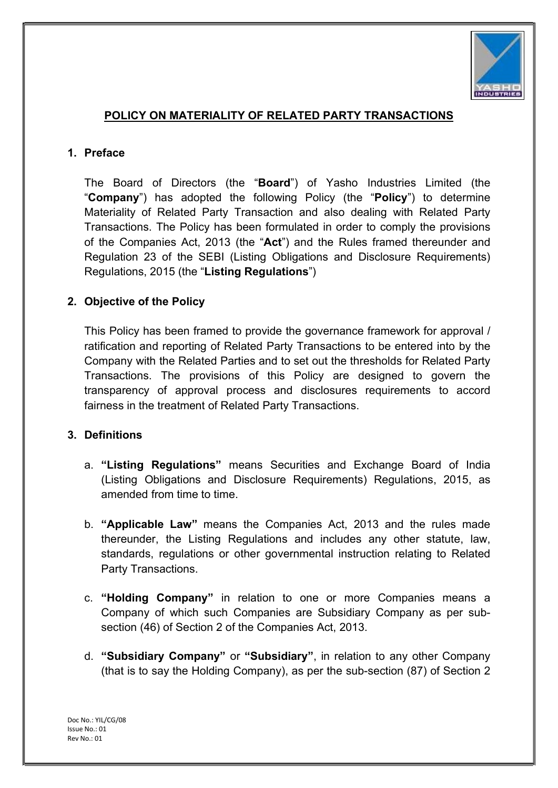

#### POLICY ON MATERIALITY OF RELATED PARTY TRANSACTIONS

#### 1. Preface

The Board of Directors (the "**Board**") of Yasho Industries Limited (the "Company") has adopted the following Policy (the "Policy") to determine Materiality of Related Party Transaction and also dealing with Related Party Transactions. The Policy has been formulated in order to comply the provisions of the Companies Act, 2013 (the "Act") and the Rules framed thereunder and Regulation 23 of the SEBI (Listing Obligations and Disclosure Requirements) Regulations, 2015 (the "Listing Regulations")

#### 2. Objective of the Policy

This Policy has been framed to provide the governance framework for approval / ratification and reporting of Related Party Transactions to be entered into by the Company with the Related Parties and to set out the thresholds for Related Party Transactions. The provisions of this Policy are designed to govern the transparency of approval process and disclosures requirements to accord fairness in the treatment of Related Party Transactions.

#### 3. Definitions

- a. "Listing Regulations" means Securities and Exchange Board of India (Listing Obligations and Disclosure Requirements) Regulations, 2015, as amended from time to time.
- b. "Applicable Law" means the Companies Act, 2013 and the rules made thereunder, the Listing Regulations and includes any other statute, law, standards, regulations or other governmental instruction relating to Related Party Transactions.
- c. "Holding Company" in relation to one or more Companies means a Company of which such Companies are Subsidiary Company as per subsection (46) of Section 2 of the Companies Act, 2013.
- d. "Subsidiary Company" or "Subsidiary", in relation to any other Company (that is to say the Holding Company), as per the sub-section (87) of Section 2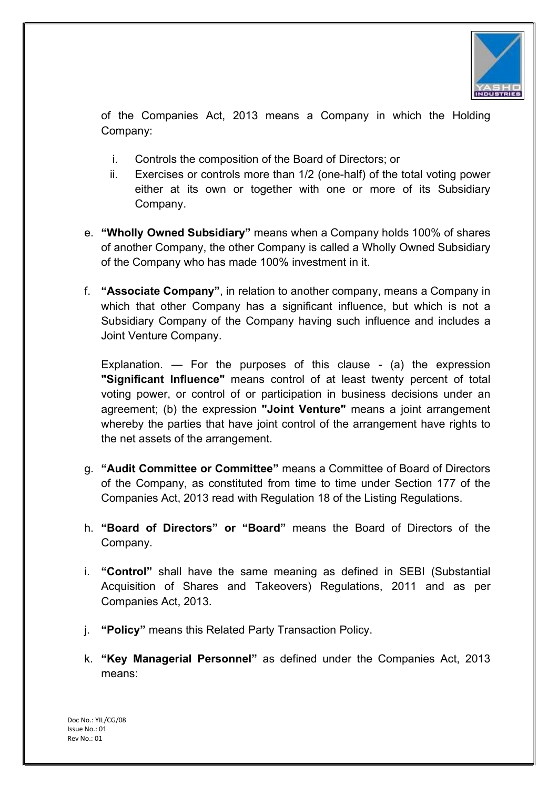

of the Companies Act, 2013 means a Company in which the Holding Company:

- i. Controls the composition of the Board of Directors; or
- ii. Exercises or controls more than 1/2 (one-half) of the total voting power either at its own or together with one or more of its Subsidiary Company.
- e. "Wholly Owned Subsidiary" means when a Company holds 100% of shares of another Company, the other Company is called a Wholly Owned Subsidiary of the Company who has made 100% investment in it.
- f. "Associate Company", in relation to another company, means a Company in which that other Company has a significant influence, but which is not a Subsidiary Company of the Company having such influence and includes a Joint Venture Company.

Explanation.  $\overline{ }$  For the purposes of this clause - (a) the expression "Significant Influence" means control of at least twenty percent of total voting power, or control of or participation in business decisions under an agreement; (b) the expression "Joint Venture" means a joint arrangement whereby the parties that have joint control of the arrangement have rights to the net assets of the arrangement.

- g. "Audit Committee or Committee" means a Committee of Board of Directors of the Company, as constituted from time to time under Section 177 of the Companies Act, 2013 read with Regulation 18 of the Listing Regulations.
- h. "Board of Directors" or "Board" means the Board of Directors of the Company.
- i. "Control" shall have the same meaning as defined in SEBI (Substantial Acquisition of Shares and Takeovers) Regulations, 2011 and as per Companies Act, 2013.
- j. "Policy" means this Related Party Transaction Policy.
- k. "Key Managerial Personnel" as defined under the Companies Act, 2013 means: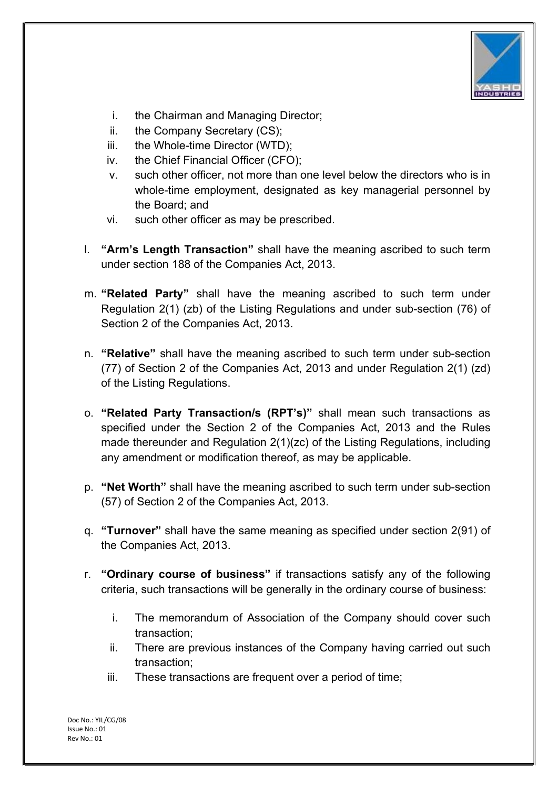

- i. the Chairman and Managing Director;
- ii. the Company Secretary (CS);
- iii. the Whole-time Director (WTD);
- iv. the Chief Financial Officer (CFO);
- v. such other officer, not more than one level below the directors who is in whole-time employment, designated as key managerial personnel by the Board; and
- vi. such other officer as may be prescribed.
- l. "Arm's Length Transaction" shall have the meaning ascribed to such term under section 188 of the Companies Act, 2013.
- m. "Related Party" shall have the meaning ascribed to such term under Regulation 2(1) (zb) of the Listing Regulations and under sub-section (76) of Section 2 of the Companies Act, 2013.
- n. "Relative" shall have the meaning ascribed to such term under sub-section (77) of Section 2 of the Companies Act, 2013 and under Regulation 2(1) (zd) of the Listing Regulations.
- o. "Related Party Transaction/s (RPT's)" shall mean such transactions as specified under the Section 2 of the Companies Act, 2013 and the Rules made thereunder and Regulation 2(1)(zc) of the Listing Regulations, including any amendment or modification thereof, as may be applicable.
- p. "Net Worth" shall have the meaning ascribed to such term under sub-section (57) of Section 2 of the Companies Act, 2013.
- q. "Turnover" shall have the same meaning as specified under section 2(91) of the Companies Act, 2013.
- r. "Ordinary course of business" if transactions satisfy any of the following criteria, such transactions will be generally in the ordinary course of business:
	- i. The memorandum of Association of the Company should cover such transaction;
	- ii. There are previous instances of the Company having carried out such transaction;
	- iii. These transactions are frequent over a period of time;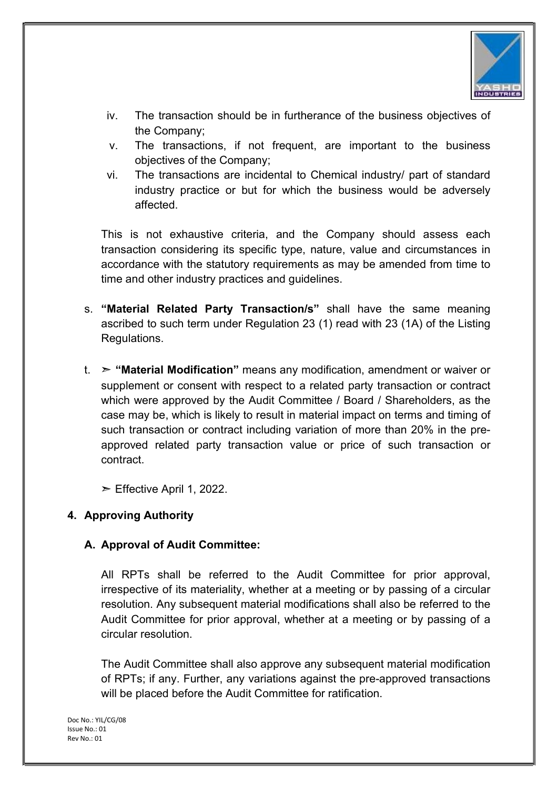

- iv. The transaction should be in furtherance of the business objectives of the Company;
- v. The transactions, if not frequent, are important to the business objectives of the Company;
- vi. The transactions are incidental to Chemical industry/ part of standard industry practice or but for which the business would be adversely affected.

This is not exhaustive criteria, and the Company should assess each transaction considering its specific type, nature, value and circumstances in accordance with the statutory requirements as may be amended from time to time and other industry practices and guidelines.

- s. "Material Related Party Transaction/s" shall have the same meaning ascribed to such term under Regulation 23 (1) read with 23 (1A) of the Listing Regulations.
- t.  $\triangleright$  "Material Modification" means any modification, amendment or waiver or supplement or consent with respect to a related party transaction or contract which were approved by the Audit Committee / Board / Shareholders, as the case may be, which is likely to result in material impact on terms and timing of such transaction or contract including variation of more than 20% in the preapproved related party transaction value or price of such transaction or contract.
	- $\triangleright$  Effective April 1, 2022.

## 4. Approving Authority

## A. Approval of Audit Committee:

All RPTs shall be referred to the Audit Committee for prior approval, irrespective of its materiality, whether at a meeting or by passing of a circular resolution. Any subsequent material modifications shall also be referred to the Audit Committee for prior approval, whether at a meeting or by passing of a circular resolution.

The Audit Committee shall also approve any subsequent material modification of RPTs; if any. Further, any variations against the pre-approved transactions will be placed before the Audit Committee for ratification.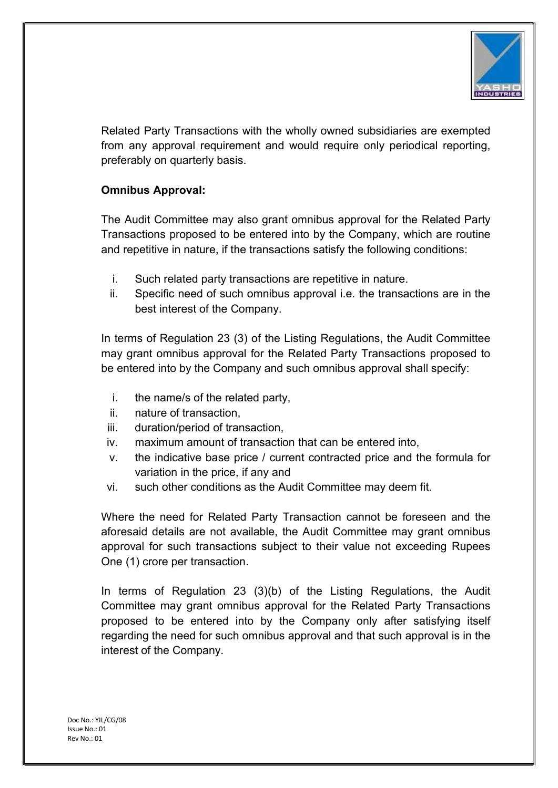

Related Party Transactions with the wholly owned subsidiaries are exempted from any approval requirement and would require only periodical reporting, preferably on quarterly basis.

# Omnibus Approval:

The Audit Committee may also grant omnibus approval for the Related Party Transactions proposed to be entered into by the Company, which are routine and repetitive in nature, if the transactions satisfy the following conditions:

- i. Such related party transactions are repetitive in nature.
- ii. Specific need of such omnibus approval i.e. the transactions are in the best interest of the Company.

In terms of Regulation 23 (3) of the Listing Regulations, the Audit Committee may grant omnibus approval for the Related Party Transactions proposed to be entered into by the Company and such omnibus approval shall specify:

- i. the name/s of the related party,
- ii. nature of transaction,
- iii. duration/period of transaction,
- iv. maximum amount of transaction that can be entered into,
- v. the indicative base price / current contracted price and the formula for variation in the price, if any and
- vi. such other conditions as the Audit Committee may deem fit.

Where the need for Related Party Transaction cannot be foreseen and the aforesaid details are not available, the Audit Committee may grant omnibus approval for such transactions subject to their value not exceeding Rupees One (1) crore per transaction.

In terms of Regulation 23 (3)(b) of the Listing Regulations, the Audit Committee may grant omnibus approval for the Related Party Transactions proposed to be entered into by the Company only after satisfying itself regarding the need for such omnibus approval and that such approval is in the interest of the Company.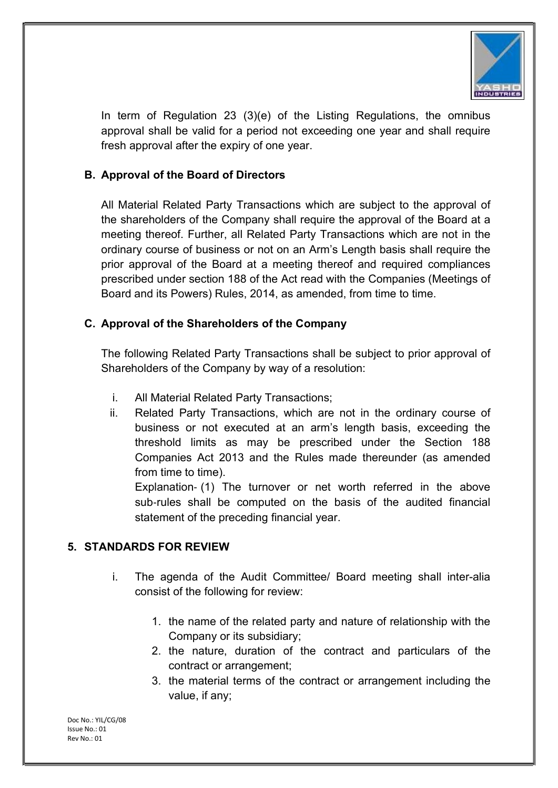

In term of Regulation 23 (3)(e) of the Listing Regulations, the omnibus approval shall be valid for a period not exceeding one year and shall require fresh approval after the expiry of one year.

# B. Approval of the Board of Directors

All Material Related Party Transactions which are subject to the approval of the shareholders of the Company shall require the approval of the Board at a meeting thereof. Further, all Related Party Transactions which are not in the ordinary course of business or not on an Arm's Length basis shall require the prior approval of the Board at a meeting thereof and required compliances prescribed under section 188 of the Act read with the Companies (Meetings of Board and its Powers) Rules, 2014, as amended, from time to time.

# C. Approval of the Shareholders of the Company

The following Related Party Transactions shall be subject to prior approval of Shareholders of the Company by way of a resolution:

- i. All Material Related Party Transactions;
- ii. Related Party Transactions, which are not in the ordinary course of business or not executed at an arm's length basis, exceeding the threshold limits as may be prescribed under the Section 188 Companies Act 2013 and the Rules made thereunder (as amended from time to time).

Explanation‐ (1) The turnover or net worth referred in the above sub-rules shall be computed on the basis of the audited financial statement of the preceding financial year.

# 5. STANDARDS FOR REVIEW

- i. The agenda of the Audit Committee/ Board meeting shall inter-alia consist of the following for review:
	- 1. the name of the related party and nature of relationship with the Company or its subsidiary;
	- 2. the nature, duration of the contract and particulars of the contract or arrangement;
	- 3. the material terms of the contract or arrangement including the value, if any;

Doc No.: YIL/CG/08 Issue No.: 01 Rev No.: 01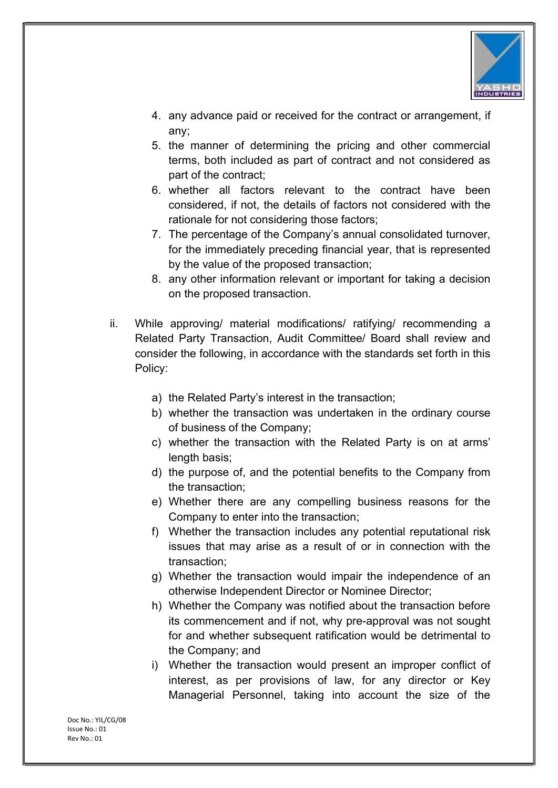

- 4. any advance paid or received for the contract or arrangement, if any;
- 5. the manner of determining the pricing and other commercial terms, both included as part of contract and not considered as part of the contract;
- 6. whether all factors relevant to the contract have been considered, if not, the details of factors not considered with the rationale for not considering those factors;
- 7. The percentage of the Company's annual consolidated turnover, for the immediately preceding financial year, that is represented by the value of the proposed transaction;
- 8. any other information relevant or important for taking a decision on the proposed transaction.
- ii. While approving/ material modifications/ ratifying/ recommending a Related Party Transaction, Audit Committee/ Board shall review and consider the following, in accordance with the standards set forth in this Policy:
	- a) the Related Party's interest in the transaction;
	- b) whether the transaction was undertaken in the ordinary course of business of the Company;
	- c) whether the transaction with the Related Party is on at arms' length basis:
	- d) the purpose of, and the potential benefits to the Company from the transaction;
	- e) Whether there are any compelling business reasons for the Company to enter into the transaction;
	- f) Whether the transaction includes any potential reputational risk issues that may arise as a result of or in connection with the transaction;
	- g) Whether the transaction would impair the independence of an otherwise Independent Director or Nominee Director;
	- h) Whether the Company was notified about the transaction before its commencement and if not, why pre-approval was not sought for and whether subsequent ratification would be detrimental to the Company; and
	- i) Whether the transaction would present an improper conflict of interest, as per provisions of law, for any director or Key Managerial Personnel, taking into account the size of the

Doc No.: YIL/CG/08 Issue No.: 01 Rev No.: 01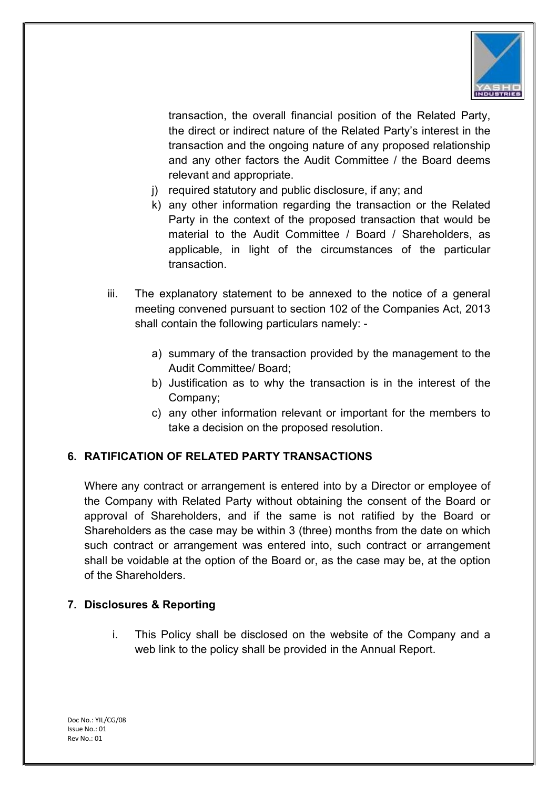

transaction, the overall financial position of the Related Party, the direct or indirect nature of the Related Party's interest in the transaction and the ongoing nature of any proposed relationship and any other factors the Audit Committee / the Board deems relevant and appropriate.

- j) required statutory and public disclosure, if any; and
- k) any other information regarding the transaction or the Related Party in the context of the proposed transaction that would be material to the Audit Committee / Board / Shareholders, as applicable, in light of the circumstances of the particular transaction.
- iii. The explanatory statement to be annexed to the notice of a general meeting convened pursuant to section 102 of the Companies Act, 2013 shall contain the following particulars namely:
	- a) summary of the transaction provided by the management to the Audit Committee/ Board;
	- b) Justification as to why the transaction is in the interest of the Company;
	- c) any other information relevant or important for the members to take a decision on the proposed resolution.

# 6. RATIFICATION OF RELATED PARTY TRANSACTIONS

Where any contract or arrangement is entered into by a Director or employee of the Company with Related Party without obtaining the consent of the Board or approval of Shareholders, and if the same is not ratified by the Board or Shareholders as the case may be within 3 (three) months from the date on which such contract or arrangement was entered into, such contract or arrangement shall be voidable at the option of the Board or, as the case may be, at the option of the Shareholders.

## 7. Disclosures & Reporting

i. This Policy shall be disclosed on the website of the Company and a web link to the policy shall be provided in the Annual Report.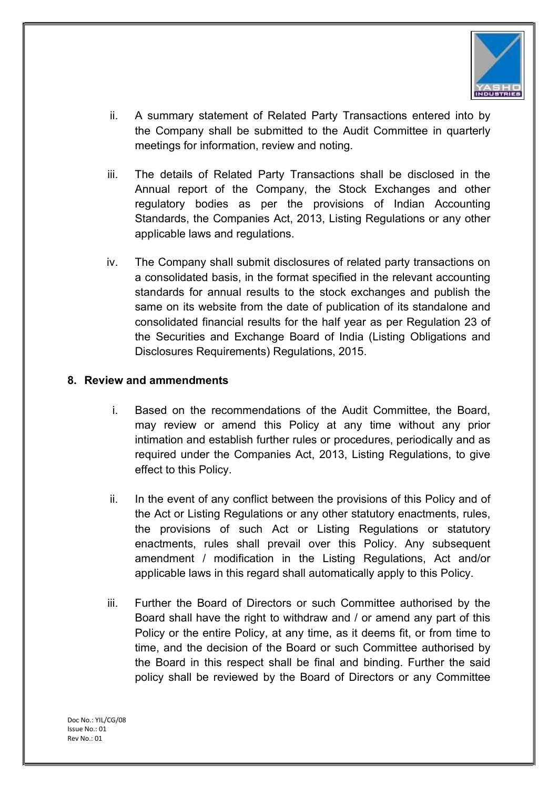

- ii. A summary statement of Related Party Transactions entered into by the Company shall be submitted to the Audit Committee in quarterly meetings for information, review and noting.
- iii. The details of Related Party Transactions shall be disclosed in the Annual report of the Company, the Stock Exchanges and other regulatory bodies as per the provisions of Indian Accounting Standards, the Companies Act, 2013, Listing Regulations or any other applicable laws and regulations.
- iv. The Company shall submit disclosures of related party transactions on a consolidated basis, in the format specified in the relevant accounting standards for annual results to the stock exchanges and publish the same on its website from the date of publication of its standalone and consolidated financial results for the half year as per Regulation 23 of the Securities and Exchange Board of India (Listing Obligations and Disclosures Requirements) Regulations, 2015.

#### 8. Review and ammendments

- i. Based on the recommendations of the Audit Committee, the Board, may review or amend this Policy at any time without any prior intimation and establish further rules or procedures, periodically and as required under the Companies Act, 2013, Listing Regulations, to give effect to this Policy.
- ii. In the event of any conflict between the provisions of this Policy and of the Act or Listing Regulations or any other statutory enactments, rules, the provisions of such Act or Listing Regulations or statutory enactments, rules shall prevail over this Policy. Any subsequent amendment / modification in the Listing Regulations, Act and/or applicable laws in this regard shall automatically apply to this Policy.
- iii. Further the Board of Directors or such Committee authorised by the Board shall have the right to withdraw and / or amend any part of this Policy or the entire Policy, at any time, as it deems fit, or from time to time, and the decision of the Board or such Committee authorised by the Board in this respect shall be final and binding. Further the said policy shall be reviewed by the Board of Directors or any Committee